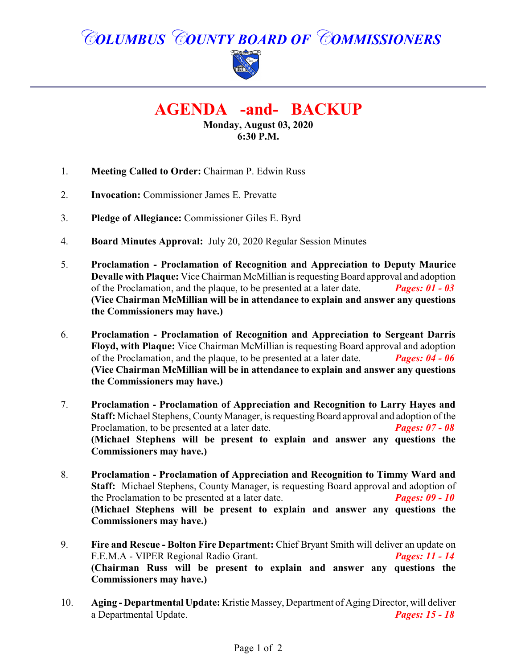# *COLUMBUS COUNTY BOARD OF COMMISSIONERS*



# **AGENDA -and- BACKUP**

**Monday, August 03, 2020 6:30 P.M.**

- 1. **Meeting Called to Order:** Chairman P. Edwin Russ
- 2. **Invocation:** Commissioner James E. Prevatte
- 3. **Pledge of Allegiance:** Commissioner Giles E. Byrd
- 4. **Board Minutes Approval:** July 20, 2020 Regular Session Minutes
- 5. **Proclamation Proclamation of Recognition and Appreciation to Deputy Maurice Devalle with Plaque:** Vice Chairman McMillian is requesting Board approval and adoption of the Proclamation, and the plaque, to be presented at a later date. **Pages: 01 - 03** of the Proclamation, and the plaque, to be presented at a later date. **(Vice Chairman McMillian will be in attendance to explain and answer any questions the Commissioners may have.)**
- 6. **Proclamation - Proclamation of Recognition and Appreciation to Sergeant Darris Floyd, with Plaque:** Vice Chairman McMillian is requesting Board approval and adoption of the Proclamation, and the plaque, to be presented at a later date. *Pages: 04 - 06* **(Vice Chairman McMillian will be in attendance to explain and answer any questions the Commissioners may have.)**
- 7. **Proclamation - Proclamation of Appreciation and Recognition to Larry Hayes and Staff:** Michael Stephens, County Manager, is requesting Board approval and adoption of the Proclamation, to be presented at a later date. Proclamation, to be presented at a later date. **(Michael Stephens will be present to explain and answer any questions the Commissioners may have.)**
- 8. **Proclamation Proclamation of Appreciation and Recognition to Timmy Ward and Staff:** Michael Stephens, County Manager, is requesting Board approval and adoption of the Proclamation to be presented at a later date. *Pages: 09 - 10* **(Michael Stephens will be present to explain and answer any questions the Commissioners may have.)**
- 9. **Fire and Rescue Bolton Fire Department:** Chief Bryant Smith will deliver an update on F.E.M.A - VIPER Regional Radio Grant. *Pages: 11 - 14* **(Chairman Russ will be present to explain and answer any questions the Commissioners may have.)**
- 10. **Aging Departmental Update:** Kristie Massey, Department of Aging Director, will deliver a Departmental Update. *Pages: 15 - 18*